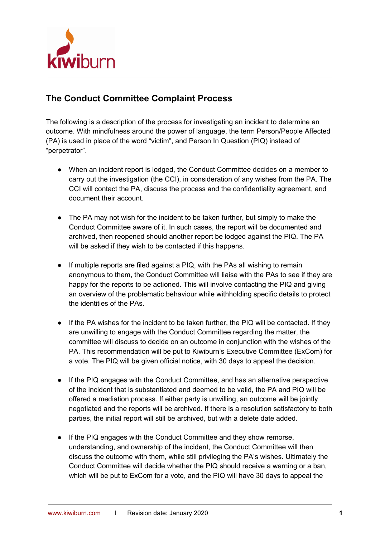

## **The Conduct Committee Complaint Process**

The following is a description of the process for investigating an incident to determine an outcome. With mindfulness around the power of language, the term Person/People Affected (PA) is used in place of the word "victim", and Person In Question (PIQ) instead of "perpetrator".

- When an incident report is lodged, the Conduct Committee decides on a member to carry out the investigation (the CCI), in consideration of any wishes from the PA. The CCI will contact the PA, discuss the process and the confidentiality agreement, and document their account.
- The PA may not wish for the incident to be taken further, but simply to make the Conduct Committee aware of it. In such cases, the report will be documented and archived, then reopened should another report be lodged against the PIQ. The PA will be asked if they wish to be contacted if this happens.
- If multiple reports are filed against a PIQ, with the PAs all wishing to remain anonymous to them, the Conduct Committee will liaise with the PAs to see if they are happy for the reports to be actioned. This will involve contacting the PIQ and giving an overview of the problematic behaviour while withholding specific details to protect the identities of the PAs.
- If the PA wishes for the incident to be taken further, the PIQ will be contacted. If they are unwilling to engage with the Conduct Committee regarding the matter, the committee will discuss to decide on an outcome in conjunction with the wishes of the PA. This recommendation will be put to Kiwiburn's Executive Committee (ExCom) for a vote. The PIQ will be given official notice, with 30 days to appeal the decision.
- If the PIQ engages with the Conduct Committee, and has an alternative perspective of the incident that is substantiated and deemed to be valid, the PA and PIQ will be offered a mediation process. If either party is unwilling, an outcome will be jointly negotiated and the reports will be archived. If there is a resolution satisfactory to both parties, the initial report will still be archived, but with a delete date added.
- If the PIQ engages with the Conduct Committee and they show remorse, understanding, and ownership of the incident, the Conduct Committee will then discuss the outcome with them, while still privileging the PA's wishes. Ultimately the Conduct Committee will decide whether the PIQ should receive a warning or a ban, which will be put to ExCom for a vote, and the PIQ will have 30 days to appeal the